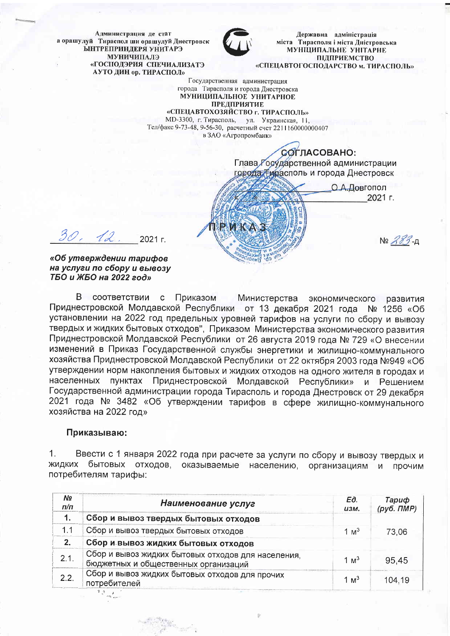Администрация де стат а орашулуй Тираспол ши орашулуй Днестровск **ЫНТРЕПРИНДЕРЯ УНИТАРЭ** МУНИЧИПАЛЭ «ГОСПОЛЭРИЯ СПЕЧИАЛИЗАТЭ АУТО ДИН ор. ТИРАСПОЛ»



Державна адміністрація міста Тирасполя і міста Дністровська **МУНІЦИПАЛЬНЕ УНІТАРНЕ** ПІЛПРИЕМСТВО «СПЕЦАВТОГОСПОДАРСТВО м. ТИРАСПОЛЬ»

Государственная администрация города Тирасполя и города Днестровска МУНИЦИПАЛЬНОЕ УНИТАРНОЕ **ПРЕДПРИЯТИЕ** 

«СПЕЦАВТОХОЗЯЙСТВО г. ТИРАСПОЛЬ» MD-3300, г. Тирасполь, ул. Украинская, 11, Тел/факс 9-73-48, 9-56-30, расчетный счет 2211160000000407 в ЗАО «Агропромбанк»

> СОГЛАСОВАНО: Глава Государственной администрации города Тирасполь и города Днестровск

О.А.Довгопол 2021 г.  $N = 283 - 1$ 

 $30.42$  $2021<sub>r</sub>$ 

«Об утверждении тарифов на услуги по сбору и вывозу ТБО и ЖБО на 2022 год»

 $\mathsf{R}$ СООТВЕТСТВИИ  $\mathbf{C}$ Приказом Министерства экономического развития Приднестровской Молдавской Республики от 13 декабря 2021 года Nº 1256 «06 установлении на 2022 год предельных уровней тарифов на услуги по сбору и вывозу твердых и жидких бытовых отходов", Приказом Министерства экономического развития Приднестровской Молдавской Республики от 26 августа 2019 года № 729 «О внесении изменений в Приказ Государственной службы энергетики и жилищно-коммунального хозяйства Приднестровской Молдавской Республики от 22 октября 2003 года №949 «Об утверждении норм накопления бытовых и жидких отходов на одного жителя в городах и населенных пунктах Приднестровской Молдавской Республики» и Решением Государственной администрации города Тирасполь и города Днестровск от 29 декабря 2021 года № 3482 «Об утверждении тарифов в сфере жилищно-коммунального хозяйства на 2022 год»

## Приказываю:

 $1<sub>1</sub>$ Ввести с 1 января 2022 года при расчете за услуги по сбору и вывозу твердых и жидких бытовых отходов, оказываемые населению, организациям и прочим потребителям тарифы:

| NΩ<br>n/n | Наименование услуг                                                                         | Εд.<br><b>U3M.</b> | Тариф<br>(руб. ПМР) |
|-----------|--------------------------------------------------------------------------------------------|--------------------|---------------------|
| 1.        | Сбор и вывоз твердых бытовых отходов                                                       |                    |                     |
| 1.1       | Сбор и вывоз твердых бытовых отходов                                                       | 1 $M3$             | 73,06               |
| 2.        | Сбор и вывоз жидких бытовых отходов                                                        |                    |                     |
| 2.1       | Сбор и вывоз жидких бытовых отходов для населения,<br>бюджетных и общественных организаций | 1 M <sup>3</sup>   | 95,45               |
| 2.2.      | Сбор и вывоз жидких бытовых отходов для прочих<br>потребителей                             | 1 м <sup>з</sup>   | 104,19              |